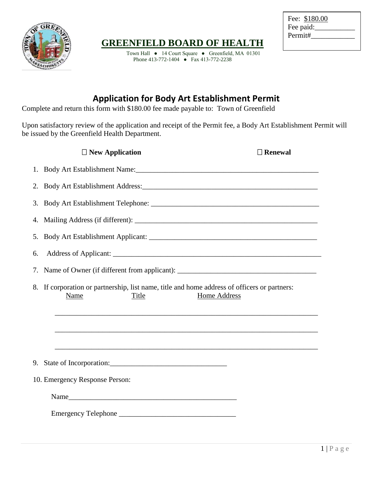

## **GREENFIELD BOARD OF HEALTH**

Town Hall ● 14 Court Square ● Greenfield, MA 01301 Phone 413-772-1404 ● Fax 413-772-2238

| Fee: \$180.00 |  |
|---------------|--|
| Fee paid:     |  |
| Permit#       |  |
|               |  |

## **Application for Body Art Establishment Permit**

Complete and return this form with \$180.00 fee made payable to: Town of Greenfield

Upon satisfactory review of the application and receipt of the Permit fee, a Body Art Establishment Permit will be issued by the Greenfield Health Department.

| $\Box$ New Application                                                                                                                  | $\Box$ Renewal |
|-----------------------------------------------------------------------------------------------------------------------------------------|----------------|
| 1.                                                                                                                                      |                |
| 2.                                                                                                                                      |                |
| 3.                                                                                                                                      |                |
| 4.                                                                                                                                      |                |
| 5.                                                                                                                                      |                |
| 6.                                                                                                                                      |                |
| 7.                                                                                                                                      |                |
| If corporation or partnership, list name, title and home address of officers or partners:<br>8.<br><b>Home Address</b><br>Name<br>Title |                |
| ,我们也不能在这里的时候,我们也不能在这里的时候,我们也不能会在这里的时候,我们也不能会在这里的时候,我们也不能会在这里的时候,我们也不能会在这里的时候,我们也不                                                       |                |
|                                                                                                                                         |                |
| 9.                                                                                                                                      |                |
| 10. Emergency Response Person:                                                                                                          |                |
|                                                                                                                                         |                |
|                                                                                                                                         |                |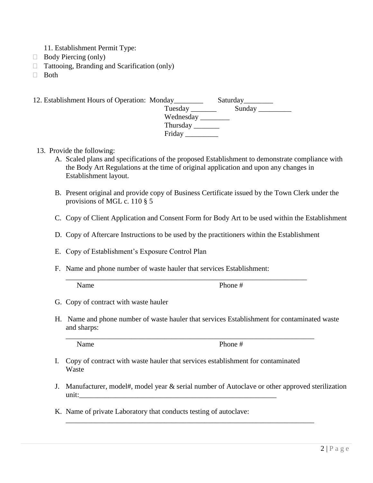- 11. Establishment Permit Type:
- $\Box$  Body Piercing (only)
- □ Tattooing, Branding and Scarification (only)
- $\Box$  Both

| 12. Establishment Hours of Operation: Monday |          | Saturday <sub>___________</sub> |
|----------------------------------------------|----------|---------------------------------|
|                                              |          | Tuesday Sunday                  |
|                                              |          |                                 |
|                                              | Thursday |                                 |
|                                              | Friday   |                                 |

- 13. Provide the following:
	- A. Scaled plans and specifications of the proposed Establishment to demonstrate compliance with the Body Art Regulations at the time of original application and upon any changes in Establishment layout.
	- B. Present original and provide copy of Business Certificate issued by the Town Clerk under the provisions of MGL c. 110 § 5
	- C. Copy of Client Application and Consent Form for Body Art to be used within the Establishment
	- D. Copy of Aftercare Instructions to be used by the practitioners within the Establishment

\_\_\_\_\_\_\_\_\_\_\_\_\_\_\_\_\_\_\_\_\_\_\_\_\_\_\_\_\_\_\_\_\_\_\_\_\_\_\_\_\_\_\_\_\_\_\_\_\_\_\_\_\_\_\_\_\_\_\_\_\_\_\_\_\_\_

- E. Copy of Establishment's Exposure Control Plan
- F. Name and phone number of waste hauler that services Establishment:

Name Phone #

- G. Copy of contract with waste hauler
- H. Name and phone number of waste hauler that services Establishment for contaminated waste and sharps:

\_\_\_\_\_\_\_\_\_\_\_\_\_\_\_\_\_\_\_\_\_\_\_\_\_\_\_\_\_\_\_\_\_\_\_\_\_\_\_\_\_\_\_\_\_\_\_\_\_\_\_\_\_\_\_\_\_\_\_\_\_\_\_\_\_\_\_\_

\_\_\_\_\_\_\_\_\_\_\_\_\_\_\_\_\_\_\_\_\_\_\_\_\_\_\_\_\_\_\_\_\_\_\_\_\_\_\_\_\_\_\_\_\_\_\_\_\_\_\_\_\_\_\_\_\_\_\_\_\_\_\_\_\_\_\_\_

Name Phone #

- I. Copy of contract with waste hauler that services establishment for contaminated Waste
- J. Manufacturer, model#, model year & serial number of Autoclave or other approved sterilization unit:\_\_\_\_\_\_\_\_\_\_\_\_\_\_\_\_\_\_\_\_\_\_\_\_\_\_\_\_\_\_\_\_\_\_\_\_\_\_\_\_\_\_\_\_\_\_\_\_\_\_\_\_\_\_
- K. Name of private Laboratory that conducts testing of autoclave: